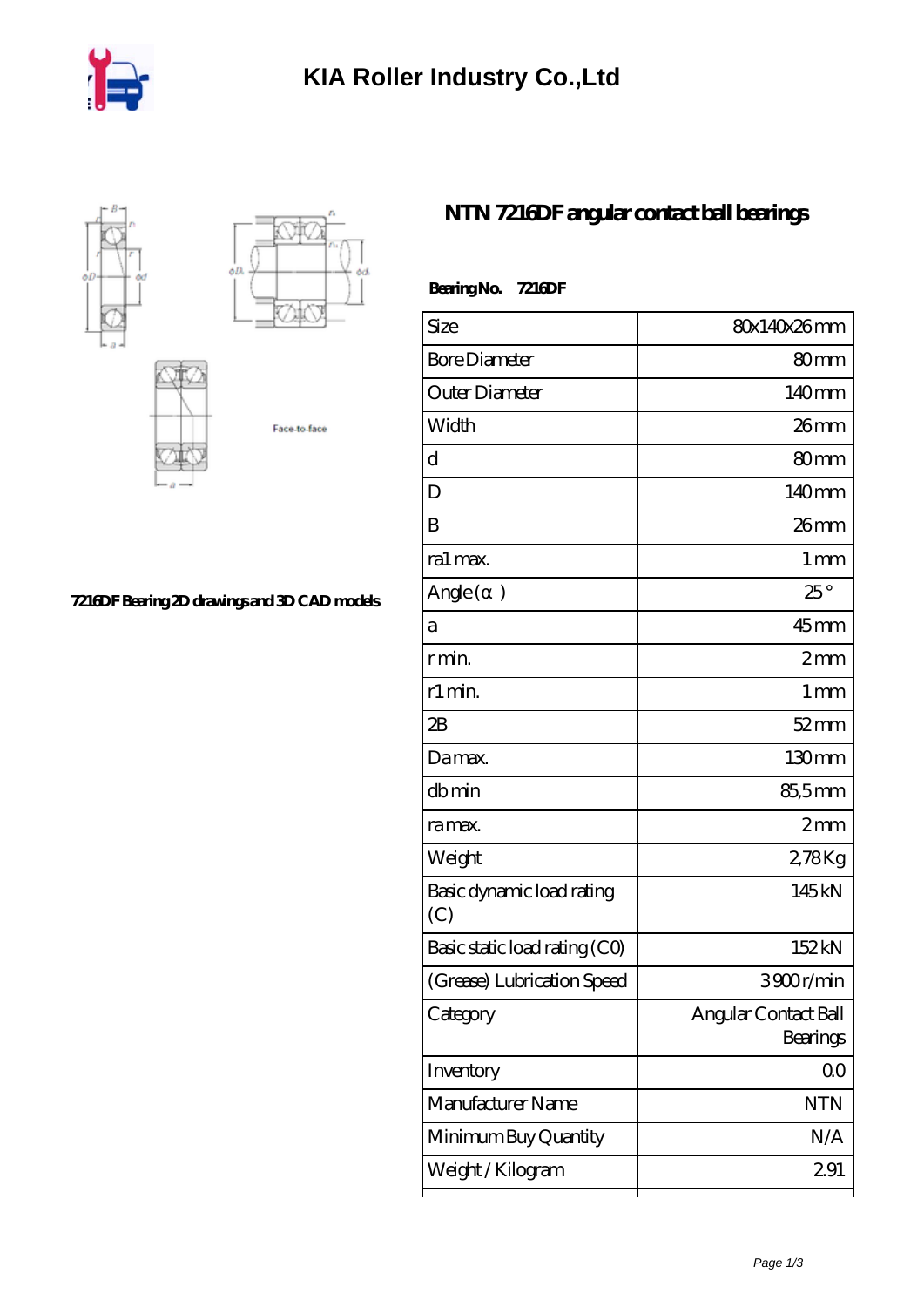



## **[7216DF Bearing 2D drawings and 3D CAD models](https://m.iyded.com/pic-65833.html)**

## **[NTN 7216DF angular contact ball bearings](https://m.iyded.com/ar-65833-ntn-7216df-angular-contact-ball-bearings.html)**

| Bearing No. 7216DF               |                                  |
|----------------------------------|----------------------------------|
| Size                             | 80x140x26mm                      |
| <b>Bore Diameter</b>             | 80 <sub>mm</sub>                 |
| Outer Diameter                   | 140mm                            |
| Width                            | $26$ mm                          |
| d                                | 80 <sub>mm</sub>                 |
| D                                | 140mm                            |
| B                                | $26$ mm                          |
| ra1 max.                         | $1 \,\mathrm{mm}$                |
| Angle (<br>$\big)$               | $25^{\circ}$                     |
| a                                | $45$ mm                          |
| r min.                           | 2mm                              |
| r1 min.                          | 1 <sub>mm</sub>                  |
| 2B                               | $52$ mm                          |
| Damax.                           | 130mm                            |
| dbmin                            | 85,5mm                           |
| ra max.                          | 2mm                              |
| Weight                           | 278Kg                            |
| Basic dynamic load rating<br>(C) | 145kN                            |
| Basic static load rating (CO)    | 152kN                            |
| (Grease) Lubrication Speed       | 3900r/min                        |
| Category                         | Angular Contact Ball<br>Bearings |
| Inventory                        | 0 <sub>0</sub>                   |
| Manufacturer Name                | <b>NTN</b>                       |
| Minimum Buy Quantity             | N/A                              |
| Weight / Kilogram                | 291                              |
|                                  |                                  |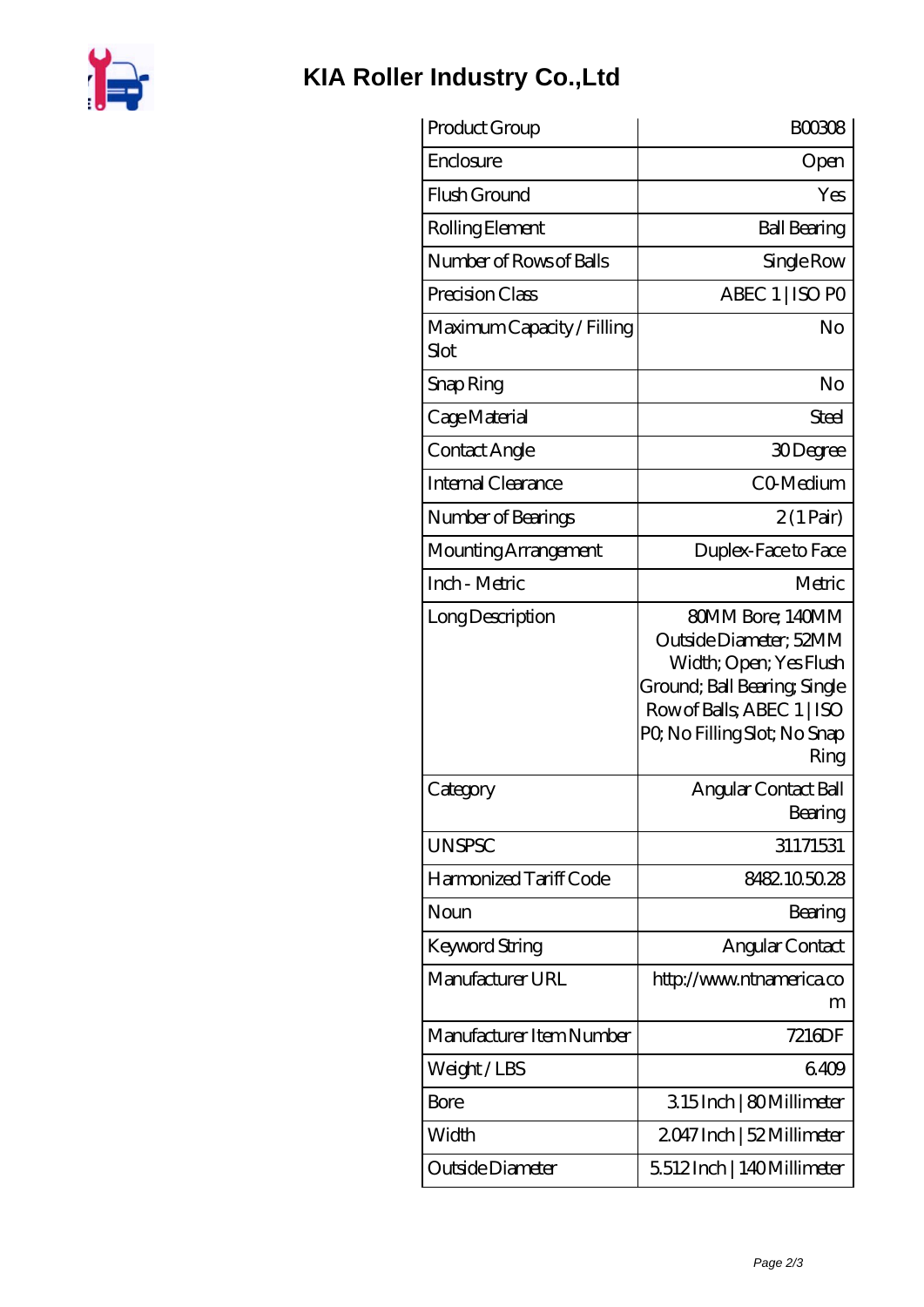

## **[KIA Roller Industry Co.,Ltd](https://m.iyded.com)**

| Product Group                      | BOO3O8                                                                                                                                                                    |
|------------------------------------|---------------------------------------------------------------------------------------------------------------------------------------------------------------------------|
| Enclosure                          | Open                                                                                                                                                                      |
| Flush Ground                       | Yes                                                                                                                                                                       |
| Rolling Element                    | <b>Ball Bearing</b>                                                                                                                                                       |
| Number of Rows of Balls            | Single Row                                                                                                                                                                |
| Precision Class                    | ABEC 1   ISO PO                                                                                                                                                           |
| Maximum Capacity / Filling<br>Slot | No                                                                                                                                                                        |
| Snap Ring                          | No                                                                                                                                                                        |
| Cage Material                      | Steel                                                                                                                                                                     |
| Contact Angle                      | 30Degree                                                                                                                                                                  |
| Internal Clearance                 | CO-Medium                                                                                                                                                                 |
| Number of Bearings                 | $2(1 \,\text{Pair})$                                                                                                                                                      |
| Mounting Arrangement               | Duplex-Face to Face                                                                                                                                                       |
| Inch - Metric                      | Metric                                                                                                                                                                    |
| Long Description                   | 80MM Bore; 140MM<br>Outside Diameter; 52MM<br>Width; Open; Yes Flush<br>Ground; Ball Bearing; Single<br>Row of Balls, ABEC 1   ISO<br>PQ No Filling Slot; No Snap<br>Ring |
| Category                           | Angular Contact Ball<br>Bearing                                                                                                                                           |
| <b>UNSPSC</b>                      | 31171531                                                                                                                                                                  |
| Harmonized Tariff Code             | 8482105028                                                                                                                                                                |
| Noun                               | Bearing                                                                                                                                                                   |
| Keyword String                     | Angular Contact                                                                                                                                                           |
| Manufacturer URL                   | http://www.ntnamerica.co<br>m                                                                                                                                             |
| Manufacturer Item Number           | 7216DF                                                                                                                                                                    |
| Weight/LBS                         | 6409                                                                                                                                                                      |
| Bore                               | 315Inch   80Millimeter                                                                                                                                                    |
| Width                              | 2047 Inch   52 Millimeter                                                                                                                                                 |
| Outside Diameter                   | 5512Inch   140Millimeter                                                                                                                                                  |